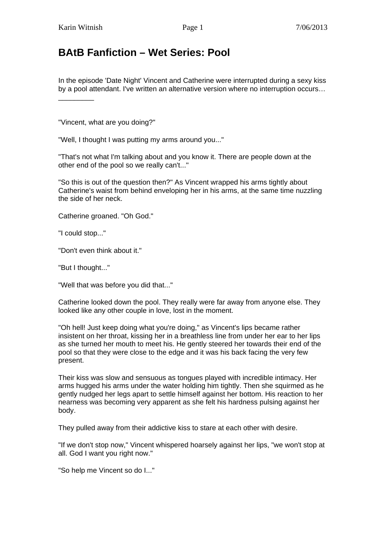\_\_\_\_\_\_\_\_\_

## **BAtB Fanfiction – Wet Series: Pool**

In the episode 'Date Night' Vincent and Catherine were interrupted during a sexy kiss by a pool attendant. I've written an alternative version where no interruption occurs…

"Vincent, what are you doing?"

"Well, I thought I was putting my arms around you..."

"That's not what I'm talking about and you know it. There are people down at the other end of the pool so we really can't..."

"So this is out of the question then?" As Vincent wrapped his arms tightly about Catherine's waist from behind enveloping her in his arms, at the same time nuzzling the side of her neck.

Catherine groaned. "Oh God."

"I could stop..."

"Don't even think about it."

"But I thought..."

"Well that was before you did that..."

Catherine looked down the pool. They really were far away from anyone else. They looked like any other couple in love, lost in the moment.

"Oh hell! Just keep doing what you're doing," as Vincent's lips became rather insistent on her throat, kissing her in a breathless line from under her ear to her lips as she turned her mouth to meet his. He gently steered her towards their end of the pool so that they were close to the edge and it was his back facing the very few present.

Their kiss was slow and sensuous as tongues played with incredible intimacy. Her arms hugged his arms under the water holding him tightly. Then she squirmed as he gently nudged her legs apart to settle himself against her bottom. His reaction to her nearness was becoming very apparent as she felt his hardness pulsing against her body.

They pulled away from their addictive kiss to stare at each other with desire.

"If we don't stop now," Vincent whispered hoarsely against her lips, "we won't stop at all. God I want you right now."

"So help me Vincent so do I..."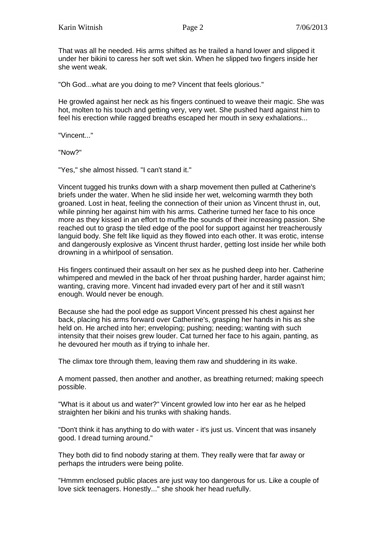That was all he needed. His arms shifted as he trailed a hand lower and slipped it under her bikini to caress her soft wet skin. When he slipped two fingers inside her she went weak.

"Oh God...what are you doing to me? Vincent that feels glorious."

He growled against her neck as his fingers continued to weave their magic. She was hot, molten to his touch and getting very, very wet. She pushed hard against him to feel his erection while ragged breaths escaped her mouth in sexy exhalations...

"Vincent..."

"Now?"

"Yes," she almost hissed. "I can't stand it."

Vincent tugged his trunks down with a sharp movement then pulled at Catherine's briefs under the water. When he slid inside her wet, welcoming warmth they both groaned. Lost in heat, feeling the connection of their union as Vincent thrust in, out, while pinning her against him with his arms. Catherine turned her face to his once more as they kissed in an effort to muffle the sounds of their increasing passion. She reached out to grasp the tiled edge of the pool for support against her treacherously languid body. She felt like liquid as they flowed into each other. It was erotic, intense and dangerously explosive as Vincent thrust harder, getting lost inside her while both drowning in a whirlpool of sensation.

His fingers continued their assault on her sex as he pushed deep into her. Catherine whimpered and mewled in the back of her throat pushing harder, harder against him; wanting, craving more. Vincent had invaded every part of her and it still wasn't enough. Would never be enough.

Because she had the pool edge as support Vincent pressed his chest against her back, placing his arms forward over Catherine's, grasping her hands in his as she held on. He arched into her; enveloping; pushing; needing; wanting with such intensity that their noises grew louder. Cat turned her face to his again, panting, as he devoured her mouth as if trying to inhale her.

The climax tore through them, leaving them raw and shuddering in its wake.

A moment passed, then another and another, as breathing returned; making speech possible.

"What is it about us and water?" Vincent growled low into her ear as he helped straighten her bikini and his trunks with shaking hands.

"Don't think it has anything to do with water - it's just us. Vincent that was insanely good. I dread turning around."

They both did to find nobody staring at them. They really were that far away or perhaps the intruders were being polite.

"Hmmm enclosed public places are just way too dangerous for us. Like a couple of love sick teenagers. Honestly..." she shook her head ruefully.